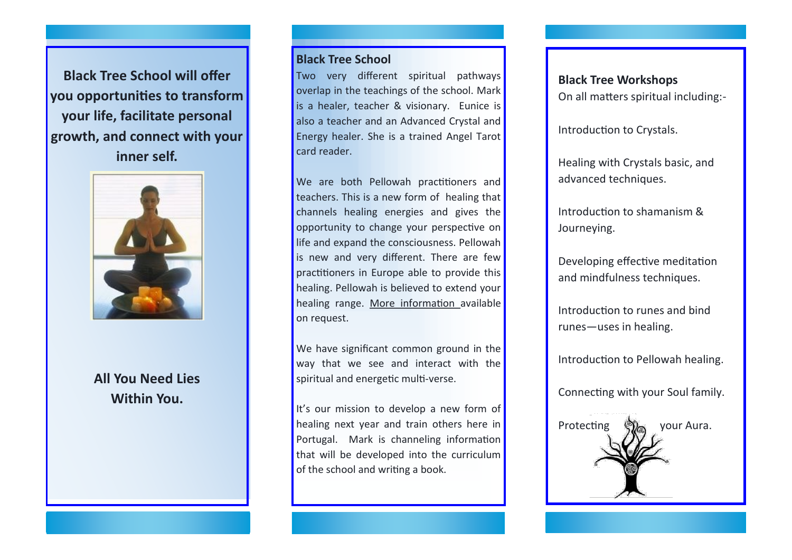**Black Tree School will offer you opportunities to transform your life, facilitate personal growth, and connect with your inner self.**



**All You Need Lies Within You.**

## **Black Tree School**

Two very different spiritual pathways overlap in the teachings of the school. Mark is a healer, teacher & visionary. Eunice is also a teacher and an Advanced Crystal and Energy healer. She is a trained Angel Tarot card reader.

We are both Pellowah practitioners and teachers. This is a new form of healing that channels healing energies and gives the opportunity to change your perspective on life and expand the consciousness. Pellowah is new and very different. There are few practitioners in Europe able to provide this healing. Pellowah is believed to extend your healing range. More information available on request.

We have significant common ground in the way that we see and interact with the spiritual and energetic multi-verse.

It's our mission to develop a new form of healing next year and train others here in Portugal. Mark is channeling information that will be developed into the curriculum of the school and writing a book.

## **Black Tree Workshops**

On all matters spiritual including:-

Introduction to Crystals.

Healing with Crystals basic, and advanced techniques.

Introduction to shamanism & Journeving.

Developing effective meditation and mindfulness techniques.

Introduction to runes and bind runes—uses in healing.

Introduction to Pellowah healing.

Connecting with your Soul family.